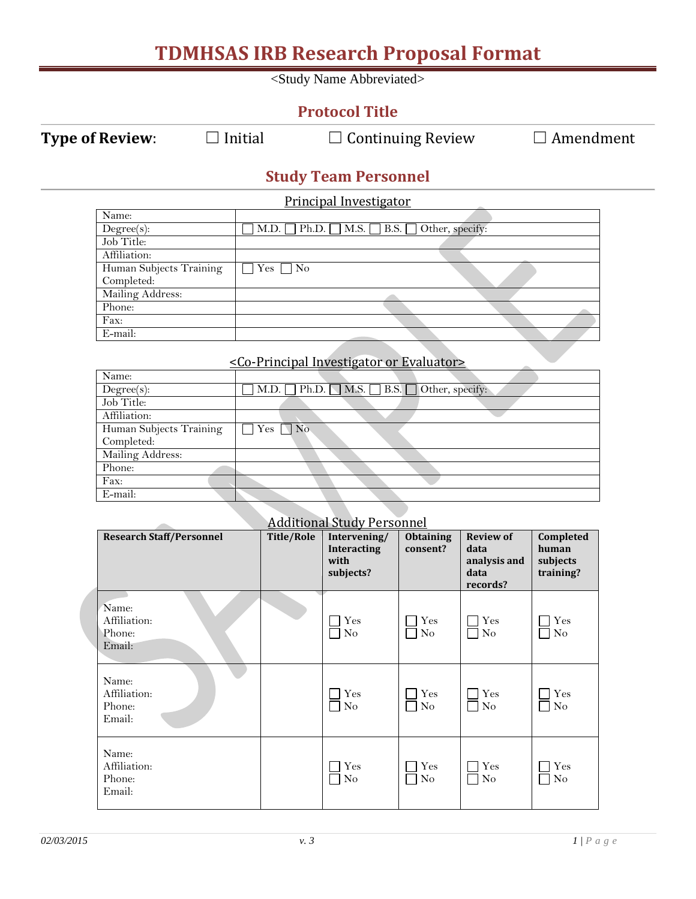| <b>TDMHSAS IRB Research Proposal Format</b> |                      |                   |                                                                  |                  |                       |                       |  |  |
|---------------------------------------------|----------------------|-------------------|------------------------------------------------------------------|------------------|-----------------------|-----------------------|--|--|
|                                             |                      |                   | <study abbreviated="" name=""></study>                           |                  |                       |                       |  |  |
|                                             |                      |                   | <b>Protocol Title</b>                                            |                  |                       |                       |  |  |
| <b>Type of Review:</b><br>$\Box$ Initial    |                      |                   | $\Box$ Continuing Review                                         |                  |                       | $\Box$ Amendment      |  |  |
|                                             |                      |                   | <b>Study Team Personnel</b>                                      |                  |                       |                       |  |  |
|                                             |                      |                   | Principal Investigator                                           |                  |                       |                       |  |  |
| Name:                                       |                      | Ph.D.             | M.S.<br><b>B.S.</b>                                              |                  |                       |                       |  |  |
| $Degree(s)$ :<br>Job Title:                 | M.D.                 |                   |                                                                  | Other, specify:  |                       |                       |  |  |
| Affiliation:                                |                      |                   |                                                                  |                  |                       |                       |  |  |
| Human Subjects Training                     | $\Box$ Yes $\Box$ No |                   |                                                                  |                  |                       |                       |  |  |
| Completed:                                  |                      |                   |                                                                  |                  |                       |                       |  |  |
| Mailing Address:                            |                      |                   |                                                                  |                  |                       |                       |  |  |
| Phone:                                      |                      |                   |                                                                  |                  |                       |                       |  |  |
| Fax:                                        |                      |                   |                                                                  |                  |                       |                       |  |  |
| E-mail:                                     |                      |                   |                                                                  |                  |                       |                       |  |  |
|                                             |                      |                   |                                                                  |                  |                       |                       |  |  |
|                                             |                      |                   | <co-principal evaluator="" investigator="" or=""></co-principal> |                  |                       |                       |  |  |
| Name:                                       |                      |                   |                                                                  |                  |                       |                       |  |  |
| $Degree(s)$ :                               | M.D.                 | Ph.D.             | M.S.<br><b>B.S.</b>                                              | Other, specify:  |                       |                       |  |  |
| Job Title:                                  |                      |                   |                                                                  |                  |                       |                       |  |  |
| Affiliation:                                |                      |                   |                                                                  |                  |                       |                       |  |  |
| Human Subjects Training                     | Yes                  | $\Box$ No         |                                                                  |                  |                       |                       |  |  |
| Completed:                                  |                      |                   |                                                                  |                  |                       |                       |  |  |
| Mailing Address:                            |                      |                   |                                                                  |                  |                       |                       |  |  |
| Phone:                                      |                      |                   |                                                                  |                  |                       |                       |  |  |
|                                             |                      |                   |                                                                  |                  |                       |                       |  |  |
|                                             |                      |                   |                                                                  |                  |                       |                       |  |  |
| Fax:                                        |                      |                   |                                                                  |                  |                       |                       |  |  |
| E-mail:                                     |                      |                   |                                                                  |                  |                       |                       |  |  |
|                                             |                      |                   |                                                                  |                  |                       |                       |  |  |
|                                             |                      |                   | <b>Additional Study Personnel</b>                                |                  |                       |                       |  |  |
| <b>Research Staff/Personnel</b>             |                      | <b>Title/Role</b> | Intervening/                                                     | <b>Obtaining</b> | <b>Review of</b>      | Completed             |  |  |
|                                             |                      |                   | <b>Interacting</b>                                               | consent?         | data                  | human                 |  |  |
|                                             |                      |                   | with<br>subjects?                                                |                  | analysis and<br>data  | subjects<br>training? |  |  |
|                                             |                      |                   |                                                                  |                  | records?              |                       |  |  |
|                                             |                      |                   |                                                                  |                  |                       |                       |  |  |
| Name:                                       |                      |                   |                                                                  |                  |                       |                       |  |  |
| Affiliation:                                |                      |                   | Yes                                                              | $\exists$ Yes    | Yes<br>$\Box$         | $\gamma$ Yes          |  |  |
| Phone:                                      |                      |                   | $\rm No$                                                         | $\Box$ No        | $\rm No$<br>$\Box$    | $\Box$ No             |  |  |
| Email:                                      |                      |                   |                                                                  |                  |                       |                       |  |  |
|                                             |                      |                   |                                                                  |                  |                       |                       |  |  |
| Name:                                       |                      |                   |                                                                  |                  |                       |                       |  |  |
| Affiliation:                                |                      |                   | Yes                                                              | $\exists$ Yes    | $\Box$ Yes            | $\Box$ Yes            |  |  |
| Phone:                                      |                      |                   | $\overline{N}$                                                   | $\Box$ No        | $\rm No$<br>$\Box$    | $\Box$ No             |  |  |
| Email:                                      |                      |                   |                                                                  |                  |                       |                       |  |  |
|                                             |                      |                   |                                                                  |                  |                       |                       |  |  |
|                                             |                      |                   |                                                                  |                  |                       |                       |  |  |
| Name:                                       |                      |                   |                                                                  |                  |                       |                       |  |  |
| Affiliation:                                |                      |                   | Yes                                                              | $\neg$ Yes       | Yes<br><b>College</b> | $\exists$ Yes         |  |  |
| Phone:<br>Email:                            |                      |                   | $\rm No$                                                         | $\Box$ No        | $\rm No$<br>LУ.       | $\Box$ No             |  |  |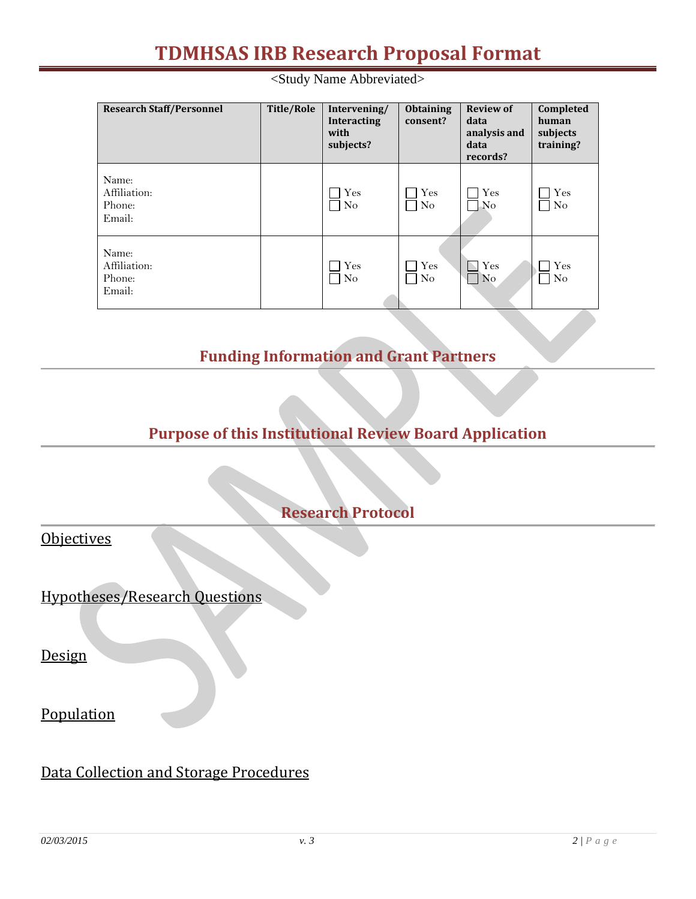## **TDMHSAS IRB Research Proposal Format**

<Study Name Abbreviated>

| <b>Research Staff/Personnel</b>           | Title/Role | Intervening/<br>Interacting<br>with<br>subjects? | <b>Obtaining</b><br>consent? | <b>Review of</b><br>data<br>analysis and<br>data<br>records? | Completed<br>human<br>subjects<br>training? |
|-------------------------------------------|------------|--------------------------------------------------|------------------------------|--------------------------------------------------------------|---------------------------------------------|
| Name:<br>Affiliation:<br>Phone:<br>Email: |            | $\rm Yes$<br>N <sub>o</sub>                      | Yes<br>N <sub>o</sub>        | Yes<br>No                                                    | Yes<br>N <sub>o</sub>                       |
| Name:<br>Affiliation:<br>Phone:<br>Email: |            | Yes<br>N <sub>o</sub>                            | $\rm Yes$<br>N <sub>o</sub>  | Yes<br>N <sub>o</sub>                                        | $\rm Yes$<br>N <sub>o</sub>                 |

## **Funding Information and Grant Partners**

**Purpose of this Institutional Review Board Application**

**Research Protocol**

**Objectives** 

Hypotheses/Research Questions

Design

Population

Data Collection and Storage Procedures